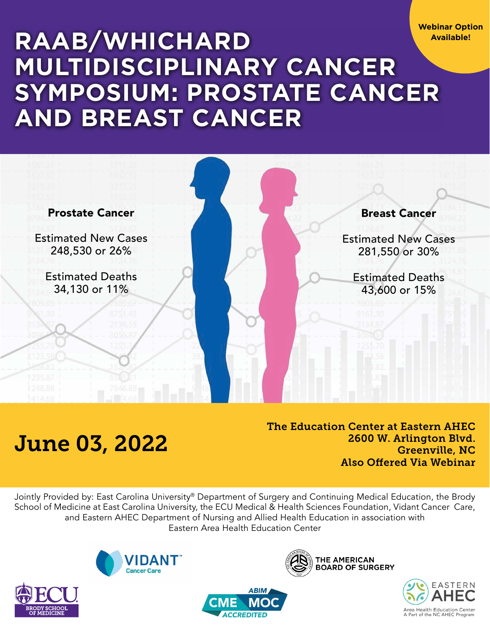**Webinar Option Available!**

# **Raab/Whichard Multidisciplinary Cancer Symposium: Prostate Cancer and Breast Cancer**



# June 03, 2022

The Education Center at Eastern AHEC 2600 W. Arlington Blvd. Greenville, NC Also Offered Via Webinar

Jointly Provided by: East Carolina University® Department of Surgery and Continuing Medical Education, the Brody School of Medicine at East Carolina University, the ECU Medical & Health Sciences Foundation, Vidant Cancer Care, and Eastern AHEC Department of Nursing and Allied Health Education in association with Eastern Area Health Education Center

**ABIM** 

**ACCREDITED** 







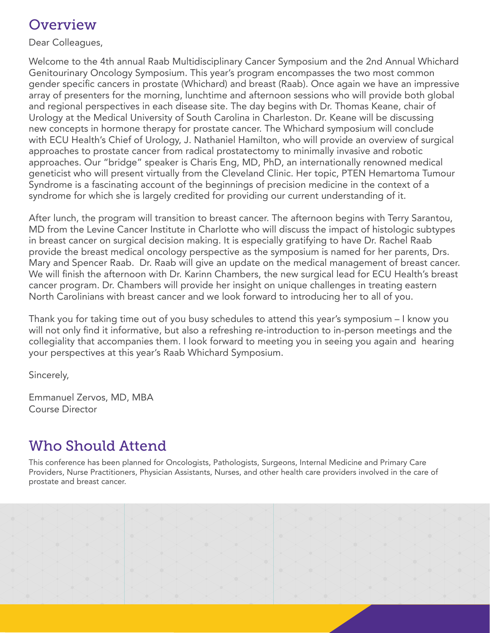# **Overview**

Dear Colleagues,

Welcome to the 4th annual Raab Multidisciplinary Cancer Symposium and the 2nd Annual Whichard Genitourinary Oncology Symposium. This year's program encompasses the two most common gender specific cancers in prostate (Whichard) and breast (Raab). Once again we have an impressive array of presenters for the morning, lunchtime and afternoon sessions who will provide both global and regional perspectives in each disease site. The day begins with Dr. Thomas Keane, chair of Urology at the Medical University of South Carolina in Charleston. Dr. Keane will be discussing new concepts in hormone therapy for prostate cancer. The Whichard symposium will conclude with ECU Health's Chief of Urology, J. Nathaniel Hamilton, who will provide an overview of surgical approaches to prostate cancer from radical prostatectomy to minimally invasive and robotic approaches. Our "bridge" speaker is Charis Eng, MD, PhD, an internationally renowned medical geneticist who will present virtually from the Cleveland Clinic. Her topic, PTEN Hemartoma Tumour Syndrome is a fascinating account of the beginnings of precision medicine in the context of a syndrome for which she is largely credited for providing our current understanding of it.

After lunch, the program will transition to breast cancer. The afternoon begins with Terry Sarantou, MD from the Levine Cancer Institute in Charlotte who will discuss the impact of histologic subtypes in breast cancer on surgical decision making. It is especially gratifying to have Dr. Rachel Raab provide the breast medical oncology perspective as the symposium is named for her parents, Drs. Mary and Spencer Raab. Dr. Raab will give an update on the medical management of breast cancer. We will finish the afternoon with Dr. Karinn Chambers, the new surgical lead for ECU Health's breast cancer program. Dr. Chambers will provide her insight on unique challenges in treating eastern North Carolinians with breast cancer and we look forward to introducing her to all of you.

Thank you for taking time out of you busy schedules to attend this year's symposium – I know you will not only find it informative, but also a refreshing re-introduction to in-person meetings and the collegiality that accompanies them. I look forward to meeting you in seeing you again and hearing your perspectives at this year's Raab Whichard Symposium.

Sincerely,

Emmanuel Zervos, MD, MBA Course Director

# Who Should Attend

This conference has been planned for Oncologists, Pathologists, Surgeons, Internal Medicine and Primary Care Providers, Nurse Practitioners, Physician Assistants, Nurses, and other health care providers involved in the care of prostate and breast cancer.

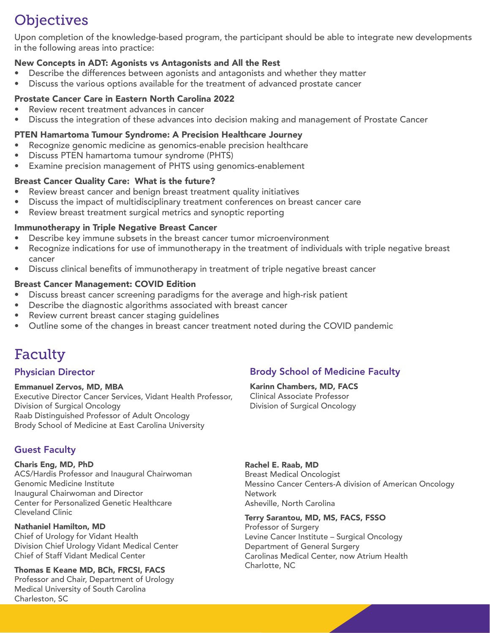# **Objectives**

Upon completion of the knowledge-based program, the participant should be able to integrate new developments in the following areas into practice:

### New Concepts in ADT: Agonists vs Antagonists and All the Rest

- Describe the differences between agonists and antagonists and whether they matter
- Discuss the various options available for the treatment of advanced prostate cancer

### Prostate Cancer Care in Eastern North Carolina 2022

- Review recent treatment advances in cancer
- • Discuss the integration of these advances into decision making and management of Prostate Cancer

### PTEN Hamartoma Tumour Syndrome: A Precision Healthcare Journey

- Recognize genomic medicine as genomics-enable precision healthcare
- • Discuss PTEN hamartoma tumour syndrome (PHTS)
- Examine precision management of PHTS using genomics-enablement

### Breast Cancer Quality Care: What is the future?

- Review breast cancer and benign breast treatment quality initiatives
- Discuss the impact of multidisciplinary treatment conferences on breast cancer care
- Review breast treatment surgical metrics and synoptic reporting

### Immunotherapy in Triple Negative Breast Cancer

- Describe key immune subsets in the breast cancer tumor microenvironment
- Recognize indications for use of immunotherapy in the treatment of individuals with triple negative breast cancer
- Discuss clinical benefits of immunotherapy in treatment of triple negative breast cancer

### Breast Cancer Management: COVID Edition

- Discuss breast cancer screening paradigms for the average and high-risk patient
- Describe the diagnostic algorithms associated with breast cancer
- Review current breast cancer staging guidelines
- Outline some of the changes in breast cancer treatment noted during the COVID pandemic

# **Faculty**

### Physician Director

# Emmanuel Zervos, MD, MBA

Executive Director Cancer Services, Vidant Health Professor, Division of Surgical Oncology Raab Distinguished Professor of Adult Oncology Brody School of Medicine at East Carolina University

### Guest Faculty

### Charis Eng, MD, PhD

ACS/Hardis Professor and Inaugural Chairwoman Genomic Medicine Institute Inaugural Chairwoman and Director Center for Personalized Genetic Healthcare Cleveland Clinic

# Nathaniel Hamilton, MD

Chief of Urology for Vidant Health Division Chief Urology Vidant Medical Center Chief of Staff Vidant Medical Center

Thomas E Keane MD, BCh, FRCSI, FACS Professor and Chair, Department of Urology Medical University of South Carolina Charleston, SC

# Brody School of Medicine Faculty

Karinn Chambers, MD, FACS Clinical Associate Professor Division of Surgical Oncology

Rachel E. Raab, MD Breast Medical Oncologist Messino Cancer Centers-A division of American Oncology **Network** Asheville, North Carolina

#### Terry Sarantou, MD, MS, FACS, FSSO

Professor of Surgery Levine Cancer Institute – Surgical Oncology Department of General Surgery Carolinas Medical Center, now Atrium Health Charlotte, NC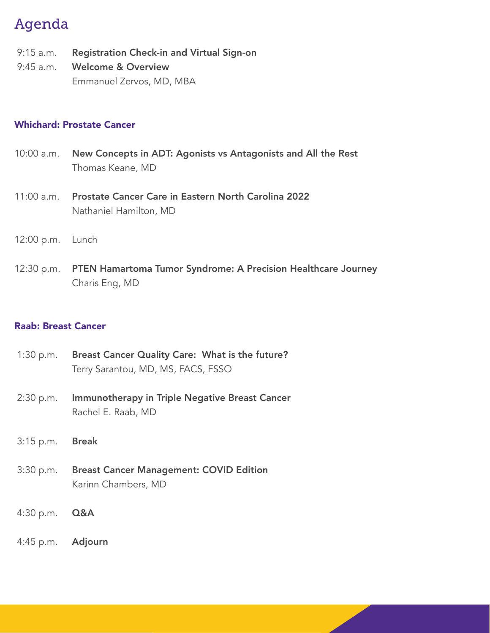# Agenda

- 9:15 a.m. Registration Check-in and Virtual Sign-on
- 9:45 a.m. Welcome & Overview Emmanuel Zervos, MD, MBA

### Whichard: Prostate Cancer

- 10:00 a.m. New Concepts in ADT: Agonists vs Antagonists and All the Rest Thomas Keane, MD
- 11:00 a.m. Prostate Cancer Care in Eastern North Carolina 2022 Nathaniel Hamilton, MD
- 12:00 p.m. Lunch
- 12:30 p.m. PTEN Hamartoma Tumor Syndrome: A Precision Healthcare Journey Charis Eng, MD

# Raab: Breast Cancer

| 1:30 p.m. Breast Cancer Quality Care: What is the future? |
|-----------------------------------------------------------|
| Terry Sarantou, MD, MS, FACS, FSSO                        |

- 2:30 p.m. Immunotherapy in Triple Negative Breast Cancer Rachel E. Raab, MD
- 3:15 p.m. Break
- 3:30 p.m. Breast Cancer Management: COVID Edition Karinn Chambers, MD
- 4:30 p.m. Q&A

4:45 p.m. Adjourn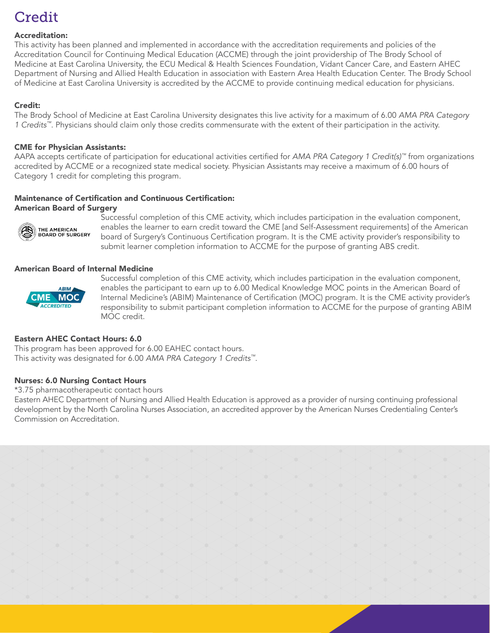# **Credit**

#### Accreditation:

This activity has been planned and implemented in accordance with the accreditation requirements and policies of the Accreditation Council for Continuing Medical Education (ACCME) through the joint providership of The Brody School of Medicine at East Carolina University, the ECU Medical & Health Sciences Foundation, Vidant Cancer Care, and Eastern AHEC Department of Nursing and Allied Health Education in association with Eastern Area Health Education Center. The Brody School of Medicine at East Carolina University is accredited by the ACCME to provide continuing medical education for physicians.

#### Credit:

The Brody School of Medicine at East Carolina University designates this live activity for a maximum of 6.00 *AMA PRA Category 1 Credits™*. Physicians should claim only those credits commensurate with the extent of their participation in the activity.

#### CME for Physician Assistants:

AAPA accepts certificate of participation for educational activities certified for *AMA PRA Category 1 Credit(s)™* from organizations accredited by ACCME or a recognized state medical society. Physician Assistants may receive a maximum of 6.00 hours of Category 1 credit for completing this program.

### Maintenance of Certification and Continuous Certification:

#### American Board of Surgery



 Successful completion of this CME activity, which includes participation in the evaluation component, EN THE AMERICAN enables the learner to earn credit toward the CME [and Self-Assessment requirements] of the American<br>BOARD OF SURGERY board of Surgery's Continuous Certification program It is the CME activity provider's re board of Surgery's Continuous Certification program. It is the CME activity provider's responsibility to submit learner completion information to ACCME for the purpose of granting ABS credit.

#### American Board of Internal Medicine



 Successful completion of this CME activity, which includes participation in the evaluation component, ABIM enables the participant to earn up to 6.00 Medical Knowledge MOC points in the American Board of Internal Medicine's (ABIM) Maintenance of Certification (MOC) program. It is the CME activity provider's responsibility to submit participant completion information to ACCME for the purpose of granting ABIM MOC credit.

#### Eastern AHEC Contact Hours: 6.0

This program has been approved for 6.00 EAHEC contact hours. This activity was designated for 6.00 *AMA PRA Category 1 Credits™*.

#### Nurses: 6.0 Nursing Contact Hours

#### \*3.75 pharmacotherapeutic contact hours

Eastern AHEC Department of Nursing and Allied Health Education is approved as a provider of nursing continuing professional development by the North Carolina Nurses Association, an accredited approver by the American Nurses Credentialing Center's Commission on Accreditation.